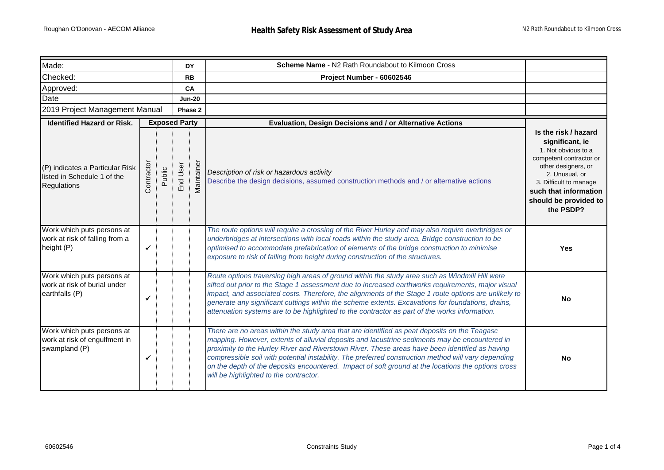| Made:                                                                         |                      |        | <b>DY</b> |               | Scheme Name - N2 Rath Roundabout to Kilmoon Cross                                                                                                                                                                                                                                                                                                                                                                                                                                                                                                      |                                                                                                                                                                                                                             |
|-------------------------------------------------------------------------------|----------------------|--------|-----------|---------------|--------------------------------------------------------------------------------------------------------------------------------------------------------------------------------------------------------------------------------------------------------------------------------------------------------------------------------------------------------------------------------------------------------------------------------------------------------------------------------------------------------------------------------------------------------|-----------------------------------------------------------------------------------------------------------------------------------------------------------------------------------------------------------------------------|
| Checked:                                                                      |                      |        | <b>RB</b> |               | Project Number - 60602546                                                                                                                                                                                                                                                                                                                                                                                                                                                                                                                              |                                                                                                                                                                                                                             |
| Approved:                                                                     |                      |        |           | CA            |                                                                                                                                                                                                                                                                                                                                                                                                                                                                                                                                                        |                                                                                                                                                                                                                             |
| Date                                                                          |                      |        |           | <b>Jun-20</b> |                                                                                                                                                                                                                                                                                                                                                                                                                                                                                                                                                        |                                                                                                                                                                                                                             |
| 2019 Project Management Manual                                                |                      |        | Phase 2   |               |                                                                                                                                                                                                                                                                                                                                                                                                                                                                                                                                                        |                                                                                                                                                                                                                             |
| <b>Identified Hazard or Risk.</b>                                             | <b>Exposed Party</b> |        |           |               | Evaluation, Design Decisions and / or Alternative Actions                                                                                                                                                                                                                                                                                                                                                                                                                                                                                              |                                                                                                                                                                                                                             |
| (P) indicates a Particular Risk<br>listed in Schedule 1 of the<br>Regulations | Contractor           | Public | End User  | Maintainer    | Description of risk or hazardous activity<br>Describe the design decisions, assumed construction methods and / or alternative actions                                                                                                                                                                                                                                                                                                                                                                                                                  | Is the risk / hazard<br>significant, ie<br>1. Not obvious to a<br>competent contractor or<br>other designers, or<br>2. Unusual, or<br>3. Difficult to manage<br>such that information<br>should be provided to<br>the PSDP? |
| Work which puts persons at<br>work at risk of falling from a<br>height (P)    | ✓                    |        |           |               | The route options will require a crossing of the River Hurley and may also require overbridges or<br>underbridges at intersections with local roads within the study area. Bridge construction to be<br>optimised to accommodate prefabrication of elements of the bridge construction to minimise<br>exposure to risk of falling from height during construction of the structures.                                                                                                                                                                   | <b>Yes</b>                                                                                                                                                                                                                  |
| Work which puts persons at<br>work at risk of burial under<br>earthfalls (P)  | $\checkmark$         |        |           |               | Route options traversing high areas of ground within the study area such as Windmill Hill were<br>sifted out prior to the Stage 1 assessment due to increased earthworks requirements, major visual<br>impact, and associated costs. Therefore, the alignments of the Stage 1 route options are unlikely to<br>generate any significant cuttings within the scheme extents. Excavations for foundations, drains,<br>attenuation systems are to be highlighted to the contractor as part of the works information.                                      | <b>No</b>                                                                                                                                                                                                                   |
| Work which puts persons at<br>work at risk of engulfment in<br>swampland (P)  | $\checkmark$         |        |           |               | There are no areas within the study area that are identified as peat deposits on the Teagasc<br>mapping. However, extents of alluvial deposits and lacustrine sediments may be encountered in<br>proximity to the Hurley River and Riverstown River. These areas have been identified as having<br>compressible soil with potential instability. The preferred construction method will vary depending<br>on the depth of the deposits encountered. Impact of soft ground at the locations the options cross<br>will be highlighted to the contractor. | <b>No</b>                                                                                                                                                                                                                   |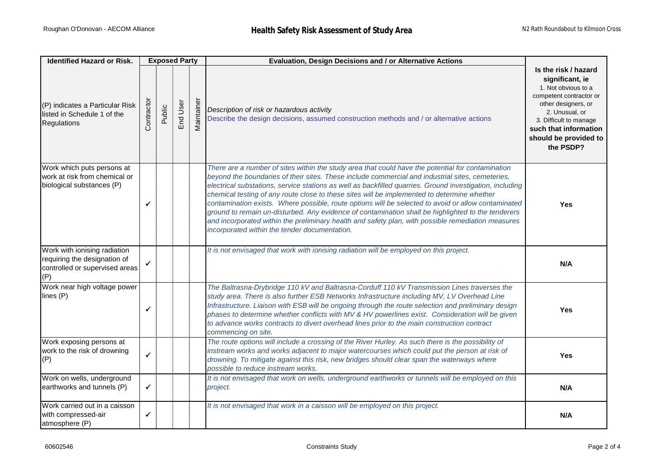| <b>Identified Hazard or Risk.</b>                                                                     | <b>Exposed Party</b> |        |          |            | Evaluation, Design Decisions and / or Alternative Actions                                                                                                                                                                                                                                                                                                                                                                                                                                                                                                                                                                                                                                                                                                                            |                                                                                                                                                                                                                             |
|-------------------------------------------------------------------------------------------------------|----------------------|--------|----------|------------|--------------------------------------------------------------------------------------------------------------------------------------------------------------------------------------------------------------------------------------------------------------------------------------------------------------------------------------------------------------------------------------------------------------------------------------------------------------------------------------------------------------------------------------------------------------------------------------------------------------------------------------------------------------------------------------------------------------------------------------------------------------------------------------|-----------------------------------------------------------------------------------------------------------------------------------------------------------------------------------------------------------------------------|
| (P) indicates a Particular Risk<br>listed in Schedule 1 of the<br>Regulations                         | Contractor           | Public | End User | Maintainer | Description of risk or hazardous activity<br>Describe the design decisions, assumed construction methods and / or alternative actions                                                                                                                                                                                                                                                                                                                                                                                                                                                                                                                                                                                                                                                | Is the risk / hazard<br>significant, ie<br>1. Not obvious to a<br>competent contractor or<br>other designers, or<br>2. Unusual, or<br>3. Difficult to manage<br>such that information<br>should be provided to<br>the PSDP? |
| Work which puts persons at<br>work at risk from chemical or<br>biological substances (P)              | ✓                    |        |          |            | There are a number of sites within the study area that could have the potential for contamination<br>beyond the boundaries of their sites. These include commercial and industrial sites, cemeteries,<br>electrical substations, service stations as well as backfilled quarries. Ground investigation, including<br>chemical testing of any route close to these sites will be implemented to determine whether<br>contamination exists. Where possible, route options will be selected to avoid or allow contaminated<br>ground to remain un-disturbed. Any evidence of contamination shall be highlighted to the tenderers<br>and incorporated within the preliminary health and safety plan, with possible remediation measures<br>incorporated within the tender documentation. | <b>Yes</b>                                                                                                                                                                                                                  |
| Work with ionising radiation<br>requiring the designation of<br>controlled or supervised areas<br>(P) | ✔                    |        |          |            | It is not envisaged that work with ionising radiation will be employed on this project.                                                                                                                                                                                                                                                                                                                                                                                                                                                                                                                                                                                                                                                                                              | N/A                                                                                                                                                                                                                         |
| Work near high voltage power<br>lines (P)                                                             | ✓                    |        |          |            | The Baltrasna-Drybridge 110 kV and Baltrasna-Corduff 110 kV Transmission Lines traverses the<br>study area. There is also further ESB Networks Infrastructure including MV, LV Overhead Line<br>Infrastructure. Liaison with ESB will be ongoing through the route selection and preliminary design<br>phases to determine whether conflicts with MV & HV powerlines exist. Consideration will be given<br>to advance works contracts to divert overhead lines prior to the main construction contract<br>commencing on site.                                                                                                                                                                                                                                                        | <b>Yes</b>                                                                                                                                                                                                                  |
| Work exposing persons at<br>work to the risk of drowning<br>(P)                                       | $\checkmark$         |        |          |            | The route options will include a crossing of the River Hurley. As such there is the possibility of<br>instream works and works adjacent to major watercourses which could put the person at risk of<br>drowning. To mitigate against this risk, new bridges should clear span the waterways where<br>possible to reduce instream works.                                                                                                                                                                                                                                                                                                                                                                                                                                              | <b>Yes</b>                                                                                                                                                                                                                  |
| Work on wells, underground<br>earthworks and tunnels (P)                                              | $\checkmark$         |        |          |            | It is not envisaged that work on wells, underground earthworks or tunnels will be employed on this<br>project.                                                                                                                                                                                                                                                                                                                                                                                                                                                                                                                                                                                                                                                                       | N/A                                                                                                                                                                                                                         |
| Work carried out in a caisson<br>with compressed-air<br>atmosphere (P)                                | ✓                    |        |          |            | It is not envisaged that work in a caisson will be employed on this project.                                                                                                                                                                                                                                                                                                                                                                                                                                                                                                                                                                                                                                                                                                         | N/A                                                                                                                                                                                                                         |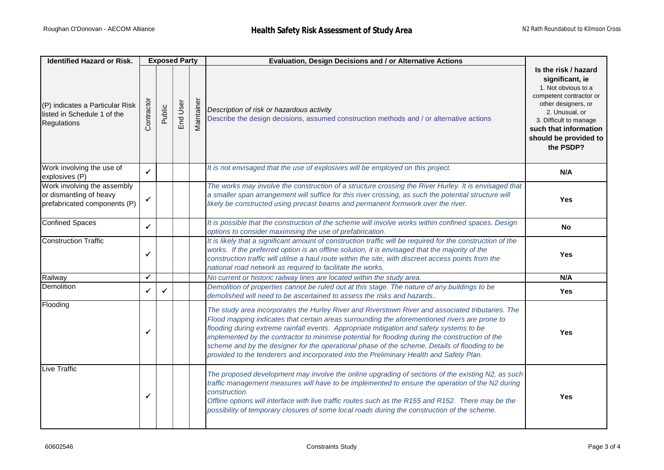| <b>Identified Hazard or Risk.</b>                                                      | <b>Exposed Party</b> |              |          |                | Evaluation, Design Decisions and / or Alternative Actions                                                                                                                                                                                                                                                                                                                                                                                                                                                                                                                                     |                                                                                                                                                                                                                             |
|----------------------------------------------------------------------------------------|----------------------|--------------|----------|----------------|-----------------------------------------------------------------------------------------------------------------------------------------------------------------------------------------------------------------------------------------------------------------------------------------------------------------------------------------------------------------------------------------------------------------------------------------------------------------------------------------------------------------------------------------------------------------------------------------------|-----------------------------------------------------------------------------------------------------------------------------------------------------------------------------------------------------------------------------|
| (P) indicates a Particular Risk<br>listed in Schedule 1 of the<br>Regulations          | Contractor           | Public       | End User | ò<br>Maintaine | Description of risk or hazardous activity<br>Describe the design decisions, assumed construction methods and / or alternative actions                                                                                                                                                                                                                                                                                                                                                                                                                                                         | Is the risk / hazard<br>significant, ie<br>1. Not obvious to a<br>competent contractor or<br>other designers, or<br>2. Unusual, or<br>3. Difficult to manage<br>such that information<br>should be provided to<br>the PSDP? |
| Work involving the use of<br>explosives (P)                                            | $\checkmark$         |              |          |                | It is not envisaged that the use of explosives will be employed on this project.                                                                                                                                                                                                                                                                                                                                                                                                                                                                                                              | N/A                                                                                                                                                                                                                         |
| Work involving the assembly<br>or dismantling of heavy<br>prefabricated components (P) | $\checkmark$         |              |          |                | The works may involve the construction of a structure crossing the River Hurley. It is envisaged that<br>a smaller span arrangement will suffice for this river crossing, as such the potential structure will<br>likely be constructed using precast beams and permanent formwork over the river.                                                                                                                                                                                                                                                                                            | Yes                                                                                                                                                                                                                         |
| <b>Confined Spaces</b>                                                                 | $\checkmark$         |              |          |                | It is possible that the construction of the scheme will involve works within confined spaces. Design<br>options to consider maximising the use of prefabrication.                                                                                                                                                                                                                                                                                                                                                                                                                             | No                                                                                                                                                                                                                          |
| <b>Construction Traffic</b>                                                            | ✓                    |              |          |                | It is likely that a significant amount of construction traffic will be required for the construction of the<br>works. If the preferred option is an offline solution, it is envisaged that the majority of the<br>construction traffic will utilise a haul route within the site, with discreet access points from the<br>national road network as required to facilitate the works.                                                                                                                                                                                                          | <b>Yes</b>                                                                                                                                                                                                                  |
| Railway                                                                                | $\checkmark$         |              |          |                | No current or historic railway lines are located within the study area.                                                                                                                                                                                                                                                                                                                                                                                                                                                                                                                       | N/A                                                                                                                                                                                                                         |
| Demolition                                                                             | ✓                    | $\checkmark$ |          |                | Demolition of properties cannot be ruled out at this stage. The nature of any buildings to be<br>demolished will need to be ascertained to assess the risks and hazards                                                                                                                                                                                                                                                                                                                                                                                                                       | <b>Yes</b>                                                                                                                                                                                                                  |
| Flooding                                                                               | ✓                    |              |          |                | The study area incorporates the Hurley River and Riverstown River and associated tributaries. The<br>Flood mapping indicates that certain areas surrounding the aforementioned rivers are prone to<br>flooding during extreme rainfall events. Appropriate mitigation and safety systems to be<br>implemented by the contractor to minimise potential for flooding during the construction of the<br>scheme and by the designer for the operational phase of the scheme. Details of flooding to be<br>provided to the tenderers and incorporated into the Preliminary Health and Safety Plan. | <b>Yes</b>                                                                                                                                                                                                                  |
| Live Traffic                                                                           | ✔                    |              |          |                | The proposed development may involve the online upgrading of sections of the existing N2, as such<br>traffic management measures will have to be implemented to ensure the operation of the N2 during<br>construction.<br>Offline options will interface with live traffic routes such as the R155 and R152. There may be the<br>possibility of temporary closures of some local roads during the construction of the scheme.                                                                                                                                                                 | <b>Yes</b>                                                                                                                                                                                                                  |